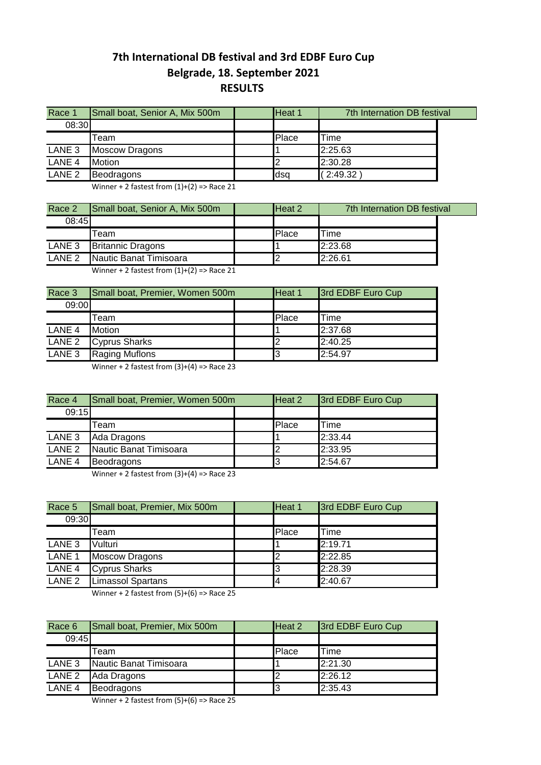## **7th International DB festival and 3rd EDBF Euro Cup Belgrade, 18. September 2021 RESULTS**

| Race 1            | Small boat, Senior A, Mix 500m | Heat 1 | 7th Internation DB festival |  |
|-------------------|--------------------------------|--------|-----------------------------|--|
| 08:30             |                                |        |                             |  |
|                   | Team                           | Place  | <b>Time</b>                 |  |
| LANE <sub>3</sub> | <b>Moscow Dragons</b>          |        | 2:25.63                     |  |
| LANE <sub>4</sub> | <b>Motion</b>                  |        | 2:30.28                     |  |
| LANE <sub>2</sub> | Beodragons                     | ldsa   | (2.49.32)                   |  |

Winner + 2 fastest from  $(1)+(2)$  => Race 21

| Race 2            | Small boat, Senior A, Mix 500m | Heat 2 | 7th Internation DB festival |  |
|-------------------|--------------------------------|--------|-----------------------------|--|
| 08:45             |                                |        |                             |  |
|                   | Team                           | Place  | $T$ ime                     |  |
| LANE 3            | <b>Britannic Dragons</b>       |        | 2:23.68                     |  |
| LANE <sub>2</sub> | Nautic Banat Timisoara         |        | 2:26.61                     |  |

Winner + 2 fastest from  $(1)+(2)$  => Race 21

| Race 3                                     | Small boat, Premier, Women 500m | Heat 1 | 3rd EDBF Euro Cup |
|--------------------------------------------|---------------------------------|--------|-------------------|
| 09:00                                      |                                 |        |                   |
| Team                                       |                                 | Place  | Time              |
| LANE <sub>4</sub><br><b>Motion</b>         |                                 |        | 2:37.68           |
| LANE <sub>2</sub><br><b>Cyprus Sharks</b>  |                                 |        | 2:40.25           |
| LANE <sub>3</sub><br><b>Raging Muflons</b> |                                 | 3      | 2:54.97           |

Winner + 2 fastest from  $(3)+(4)$  => Race 23

| Race 4            | Small boat, Premier, Women 500m | Heat 2 | 3rd EDBF Euro Cup |
|-------------------|---------------------------------|--------|-------------------|
| 09:15             |                                 |        |                   |
|                   | Team                            | Place  | <b>ITime</b>      |
| LANE <sub>3</sub> | Ada Dragons                     |        | 2:33.44           |
| LANE <sub>2</sub> | Nautic Banat Timisoara          | 2      | 2:33.95           |
| LANE <sub>4</sub> | Beodragons                      | 13     | 2:54.67           |

Winner + 2 fastest from  $(3)+(4)$  => Race 23

| Race 5                       | Small boat, Premier, Mix 500m | Heat 1 | 3rd EDBF Euro Cup |
|------------------------------|-------------------------------|--------|-------------------|
| 09:30                        |                               |        |                   |
|                              | Team                          | Place  | <b>Time</b>       |
| LANE <sub>3</sub>            | Vulturi                       |        | 2:19.71           |
| LANE <sub>1</sub>            | <b>Moscow Dragons</b>         | 12     | 2:22.85           |
| LANE 4                       | <b>Cyprus Sharks</b>          | 13     | 2:28.39           |
| $\overline{\mathsf{LANE}}$ 2 | <b>Limassol Spartans</b>      | 4      | 2:40.67           |

Winner + 2 fastest from  $(5)+(6)$  => Race 25

| Race 6            | Small boat, Premier, Mix 500m | Heat 2 | 3rd EDBF Euro Cup |
|-------------------|-------------------------------|--------|-------------------|
| 09:45             |                               |        |                   |
|                   | Team                          | Place  | Time              |
| LANE <sub>3</sub> | Nautic Banat Timisoara        |        | 2:21.30           |
| LANE <sub>2</sub> | Ada Dragons                   |        | 2:26.12           |
| LANE <sub>4</sub> | Beodragons                    | 3      | 2:35.43           |

Winner + 2 fastest from (5)+(6) => Race 25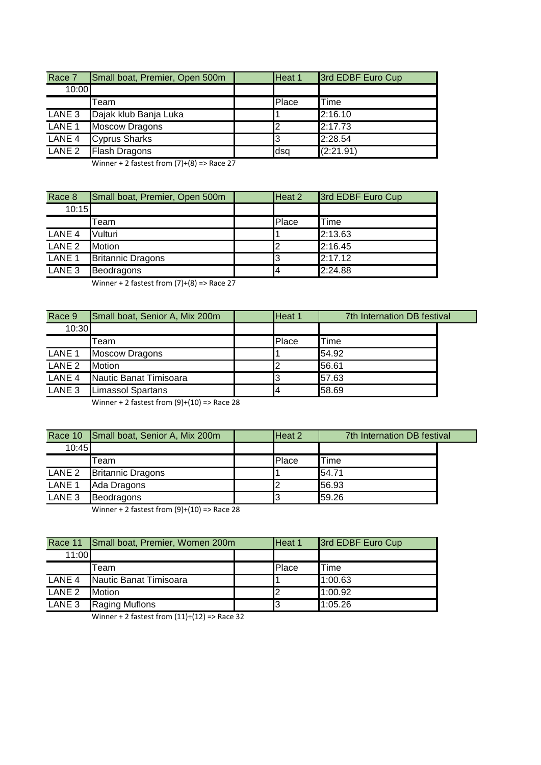| Race 7            | Small boat, Premier, Open 500m | Heat 1 | 3rd EDBF Euro Cup |
|-------------------|--------------------------------|--------|-------------------|
| 10:00             |                                |        |                   |
|                   | Team                           | Place  | Time              |
| LANE 3            | Dajak klub Banja Luka          |        | 2:16.10           |
| LANE <sub>1</sub> | <b>Moscow Dragons</b>          |        | 2:17.73           |
| LANE <sub>4</sub> | <b>Cyprus Sharks</b>           | I3     | 2:28.54           |
| LANE 2            | <b>Flash Dragons</b>           | dsa    | (2:21.91)         |

Winner + 2 fastest from  $(7)+(8)$  => Race 27

| Race 8            | Small boat, Premier, Open 500m | Heat 2 | 3rd EDBF Euro Cup |
|-------------------|--------------------------------|--------|-------------------|
| 10:15             |                                |        |                   |
|                   | Team                           | Place  | Time              |
| LANE <sub>4</sub> | Vulturi                        |        | 2:13.63           |
| LANE <sub>2</sub> | <b>Motion</b>                  | l2     | 2:16.45           |
| LANE <sub>1</sub> | <b>Britannic Dragons</b>       | 13     | 2:17.12           |
| LANE <sub>3</sub> | Beodragons                     | 4      | 2:24.88           |

Winner + 2 fastest from  $(7)+(8)$  => Race 27

| Race 9            | Small boat, Senior A, Mix 200m | Heat 1 | 7th Internation DB festival |  |
|-------------------|--------------------------------|--------|-----------------------------|--|
| 10:30             |                                |        |                             |  |
|                   | Team                           | Place  | Time                        |  |
| LANE 1            | <b>Moscow Dragons</b>          |        | 54.92                       |  |
| LANE <sub>2</sub> | <b>Motion</b>                  |        | 56.61                       |  |
| LANE <sub>4</sub> | Nautic Banat Timisoara         |        | 57.63                       |  |
| LANE 3            | <b>Limassol Spartans</b>       |        | 58.69                       |  |

Winner + 2 fastest from  $(9)+(10)$  => Race 28

|                   | Race 10 Small boat, Senior A, Mix 200m | Heat 2 | 7th Internation DB festival |  |
|-------------------|----------------------------------------|--------|-----------------------------|--|
| 10:45             |                                        |        |                             |  |
|                   | Team                                   | Place  | Time                        |  |
| LANE <sub>2</sub> | <b>Britannic Dragons</b>               |        | 54.71                       |  |
| LANE <sub>1</sub> | Ada Dragons                            |        | 56.93                       |  |
| LANE <sub>3</sub> | Beodragons                             |        | 59.26                       |  |

Winner + 2 fastest from  $(9)+(10)$  => Race 28

|                   | Race 11 Small boat, Premier, Women 200m | Heat 1 | 3rd EDBF Euro Cup |
|-------------------|-----------------------------------------|--------|-------------------|
| 11:00             |                                         |        |                   |
|                   | Team                                    | Place  | Time              |
| LANE 4            | Nautic Banat Timisoara                  |        | 1:00.63           |
| LANE <sub>2</sub> | <b>Motion</b>                           |        | 1:00.92           |
| LANE <sub>3</sub> | <b>Raging Muflons</b>                   |        | 1:05.26           |

Winner + 2 fastest from  $(11)+(12)$  => Race 32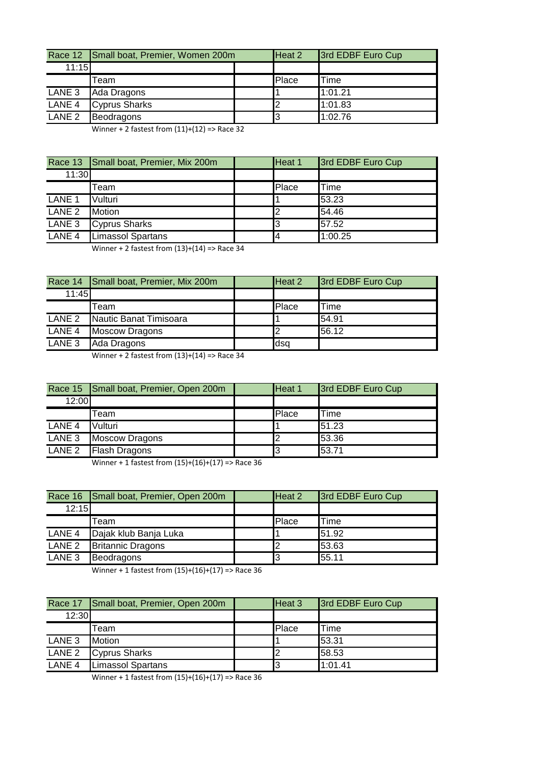|                   | Race 12 Small boat, Premier, Women 200m |  | Heat 2 | 3rd EDBF Euro Cup |
|-------------------|-----------------------------------------|--|--------|-------------------|
| 11:15             |                                         |  |        |                   |
|                   | Team                                    |  | Place  | Time              |
| LANE <sub>3</sub> | Ada Dragons                             |  |        | 1:01.21           |
| LANE <sub>4</sub> | <b>Cyprus Sharks</b>                    |  |        | 1:01.83           |
| LANE <sub>2</sub> | Beodragons                              |  |        | 1:02.76           |

Winner + 2 fastest from  $(11)+(12)$  => Race 32

|                   | Race 13 Small boat, Premier, Mix 200m | Heat 1 | 3rd EDBF Euro Cup |
|-------------------|---------------------------------------|--------|-------------------|
| 11:30             |                                       |        |                   |
|                   | Геаm                                  | Place  | <b>Time</b>       |
| LANE <sub>1</sub> | Vulturi                               |        | 53.23             |
| LANE <sub>2</sub> | <b>Motion</b>                         |        | 54.46             |
| LANE <sub>3</sub> | <b>Cyprus Sharks</b>                  | I3     | 57.52             |
| LANE <sub>4</sub> | <b>Limassol Spartans</b>              | Ι4     | 1:00.25           |

Winner + 2 fastest from (13)+(14) => Race 34

|        | Race 14 Small boat, Premier, Mix 200m | Heat 2 | 3rd EDBF Euro Cup |
|--------|---------------------------------------|--------|-------------------|
| 11:45  |                                       |        |                   |
|        | Team                                  | Place  | <b>ITime</b>      |
| LANE 2 | Nautic Banat Timisoara                |        | 54.91             |
| LANE 4 | <b>Moscow Dragons</b>                 |        | 56.12             |
| LANE 3 | Ada Dragons                           | dsq    |                   |

Winner + 2 fastest from  $(13)+(14)$  => Race 34

|                   | Race 15 Small boat, Premier, Open 200m | Heat 1 | 3rd EDBF Euro Cup |
|-------------------|----------------------------------------|--------|-------------------|
| 12:00             |                                        |        |                   |
|                   | Team                                   | Place  | Time              |
| LANE <sub>4</sub> | Vulturi                                |        | 51.23             |
| LANE <sub>3</sub> | <b>Moscow Dragons</b>                  | 12     | 53.36             |
| LANE <sub>2</sub> | <b>Flash Dragons</b>                   | I3     | 53.71             |

Winner + 1 fastest from (15)+(16)+(17) => Race 36

|                   | Race 16 Small boat, Premier, Open 200m | Heat 2 | 3rd EDBF Euro Cup |
|-------------------|----------------------------------------|--------|-------------------|
| 12:15             |                                        |        |                   |
|                   | Team                                   | Place  | Time              |
| LANE 4            | Dajak klub Banja Luka                  |        | 51.92             |
| LANE <sub>2</sub> | <b>Britannic Dragons</b>               |        | 53.63             |
| LANE <sub>3</sub> | Beodragons                             | 3      | 55.11             |

Winner + 1 fastest from (15)+(16)+(17) => Race 36

|                   | Race 17 Small boat, Premier, Open 200m | Heat 3 | 3rd EDBF Euro Cup |
|-------------------|----------------------------------------|--------|-------------------|
| 12:30             |                                        |        |                   |
|                   | Team                                   | Place  | Time              |
| LANE <sub>3</sub> | <b>Motion</b>                          |        | 53.31             |
|                   | LANE 2 Cyprus Sharks                   |        | 58.53             |
| LANE <sub>4</sub> | <b>Limassol Spartans</b>               |        | 1:01.41           |

Winner + 1 fastest from (15)+(16)+(17) => Race 36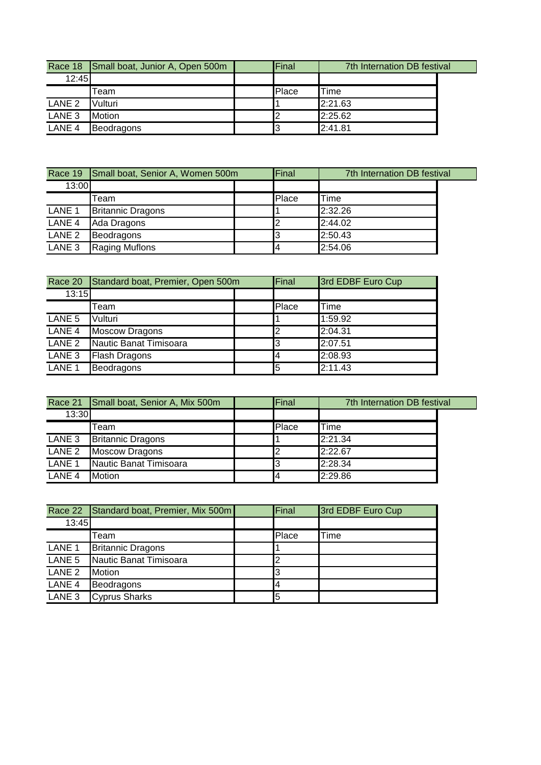|                   | Race 18 Small boat, Junior A, Open 500m | Final | 7th Internation DB festival |  |
|-------------------|-----------------------------------------|-------|-----------------------------|--|
| 12:45             |                                         |       |                             |  |
|                   | Team                                    | Place | <b>Time</b>                 |  |
| LANE <sub>2</sub> | Vulturi                                 |       | 2:21.63                     |  |
| LANE <sub>3</sub> | <b>Motion</b>                           |       | 2:25.62                     |  |
| LANE <sub>4</sub> | Beodragons                              |       | 2:41.81                     |  |

|                   | Race 19 Small boat, Senior A, Women 500m | Final | 7th Internation DB festival |  |
|-------------------|------------------------------------------|-------|-----------------------------|--|
| 13:00             |                                          |       |                             |  |
|                   | Team                                     | Place | Time                        |  |
| LANE <sub>1</sub> | <b>Britannic Dragons</b>                 |       | 2:32.26                     |  |
| LANE <sub>4</sub> | Ada Dragons                              |       | 2:44.02                     |  |
| LANE <sub>2</sub> | Beodragons                               |       | 2:50.43                     |  |
| LANE <sub>3</sub> | <b>Raging Muflons</b>                    |       | 2:54.06                     |  |

| Race 20           | Standard boat, Premier, Open 500m |  | Final | 3rd EDBF Euro Cup |
|-------------------|-----------------------------------|--|-------|-------------------|
| 13:15             |                                   |  |       |                   |
|                   | Team                              |  | Place | Time              |
| LANE <sub>5</sub> | Vulturi                           |  |       | 1:59.92           |
| LANE 4            | <b>Moscow Dragons</b>             |  | I2    | 2:04.31           |
| LANE <sub>2</sub> | Nautic Banat Timisoara            |  | I3    | 2:07.51           |
| LANE <sub>3</sub> | <b>Flash Dragons</b>              |  | I4    | 2:08.93           |
| LANE <sub>1</sub> | Beodragons                        |  | l5    | 2:11.43           |

|                   | Race 21 Small boat, Senior A, Mix 500m | Final | 7th Internation DB festival |  |
|-------------------|----------------------------------------|-------|-----------------------------|--|
| 13:30             |                                        |       |                             |  |
|                   | Team                                   | Place | Time                        |  |
| LANE <sub>3</sub> | <b>Britannic Dragons</b>               |       | 2:21.34                     |  |
| LANE <sub>2</sub> | <b>Moscow Dragons</b>                  |       | 2:22.67                     |  |
| LANE <sub>1</sub> | Nautic Banat Timisoara                 |       | 2:28.34                     |  |
| LANE <sub>4</sub> | <b>Motion</b>                          |       | 2:29.86                     |  |

|                              | Race 22 Standard boat, Premier, Mix 500m | Final | 3rd EDBF Euro Cup |
|------------------------------|------------------------------------------|-------|-------------------|
| 13:45                        |                                          |       |                   |
|                              | Team                                     | Place | Time              |
| LANE <sub>1</sub>            | <b>Britannic Dragons</b>                 |       |                   |
| LANE 5                       | Nautic Banat Timisoara                   | 2     |                   |
| $\overline{\mathsf{LANE}}$ 2 | <b>Motion</b>                            | 3     |                   |
| LANE <sub>4</sub>            | Beodragons                               | Ι4    |                   |
| LANE 3                       | <b>Cyprus Sharks</b>                     | 5     |                   |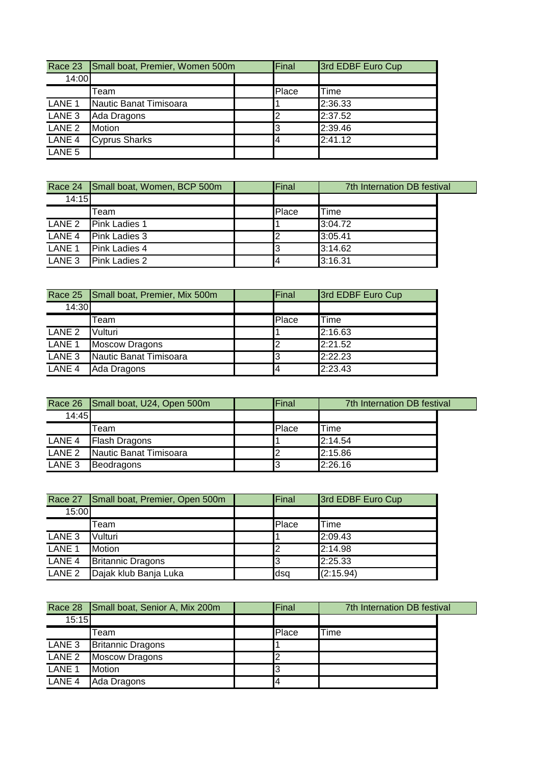|                   | Race 23 Small boat, Premier, Women 500m |  | Final | 3rd EDBF Euro Cup |
|-------------------|-----------------------------------------|--|-------|-------------------|
| 14:00             |                                         |  |       |                   |
|                   | Team                                    |  | Place | Time              |
| LANE <sub>1</sub> | Nautic Banat Timisoara                  |  |       | 2:36.33           |
| LANE <sub>3</sub> | Ada Dragons                             |  |       | 2:37.52           |
| LANE <sub>2</sub> | <b>Motion</b>                           |  | IЗ    | 2:39.46           |
| LANE 4            | <b>Cyprus Sharks</b>                    |  | 14    | 2:41.12           |
| LANE <sub>5</sub> |                                         |  |       |                   |

|                   | Race 24 Small boat, Women, BCP 500m | Final | 7th Internation DB festival |  |
|-------------------|-------------------------------------|-------|-----------------------------|--|
| 14:15             |                                     |       |                             |  |
|                   | Team                                | Place | Time                        |  |
| LANE 2            | Pink Ladies 1                       |       | 3:04.72                     |  |
| LANE <sub>4</sub> | <b>Pink Ladies 3</b>                |       | 3:05.41                     |  |
| LANE <sub>1</sub> | Pink Ladies 4                       |       | 3:14.62                     |  |
| LANE <sub>3</sub> | <b>Pink Ladies 2</b>                |       | 3:16.31                     |  |

|                   | Race 25 Small boat, Premier, Mix 500m | Final | 3rd EDBF Euro Cup |
|-------------------|---------------------------------------|-------|-------------------|
| 14:30             |                                       |       |                   |
|                   | Team                                  | Place | Time              |
| LANE <sub>2</sub> | Vulturi                               |       | 2:16.63           |
| LANE <sub>1</sub> | <b>Moscow Dragons</b>                 |       | 2:21.52           |
| LANE <sub>3</sub> | Nautic Banat Timisoara                |       | 2:22.23           |
| LANE <sub>4</sub> | Ada Dragons                           | 4     | 2:23.43           |

|                   | Race 26 Small boat, U24, Open 500m | Final | 7th Internation DB festival |  |
|-------------------|------------------------------------|-------|-----------------------------|--|
| 14:45             |                                    |       |                             |  |
|                   | Team                               | Place | 'Time                       |  |
| LANE 4            | <b>Flash Dragons</b>               |       | 2:14.54                     |  |
| LANE <sub>2</sub> | Nautic Banat Timisoara             |       | 2:15.86                     |  |
| LANE <sub>3</sub> | Beodragons                         |       | 2:26.16                     |  |

| Race 27           | Small boat, Premier, Open 500m | Final | 3rd EDBF Euro Cup |
|-------------------|--------------------------------|-------|-------------------|
| 15:00             |                                |       |                   |
|                   | Team                           | Place | Time              |
| LANE <sub>3</sub> | Vulturi                        |       | 2:09.43           |
| LANE <sub>1</sub> | <b>Motion</b>                  | I2    | 2:14.98           |
| LANE <sub>4</sub> | <b>Britannic Dragons</b>       | I3    | 2:25.33           |
| LANE <sub>2</sub> | Dajak klub Banja Luka          | dsq   | (2:15.94)         |

|                   | Race 28 Small boat, Senior A, Mix 200m | Final | 7th Internation DB festival |  |
|-------------------|----------------------------------------|-------|-----------------------------|--|
| 15:15             |                                        |       |                             |  |
|                   | Team                                   | Place | Time                        |  |
| LANE <sub>3</sub> | <b>Britannic Dragons</b>               |       |                             |  |
| LANE <sub>2</sub> | <b>Moscow Dragons</b>                  |       |                             |  |
| LANE <sub>1</sub> | <b>Motion</b>                          | IЗ    |                             |  |
| LANE <sub>4</sub> | Ada Dragons                            | 14    |                             |  |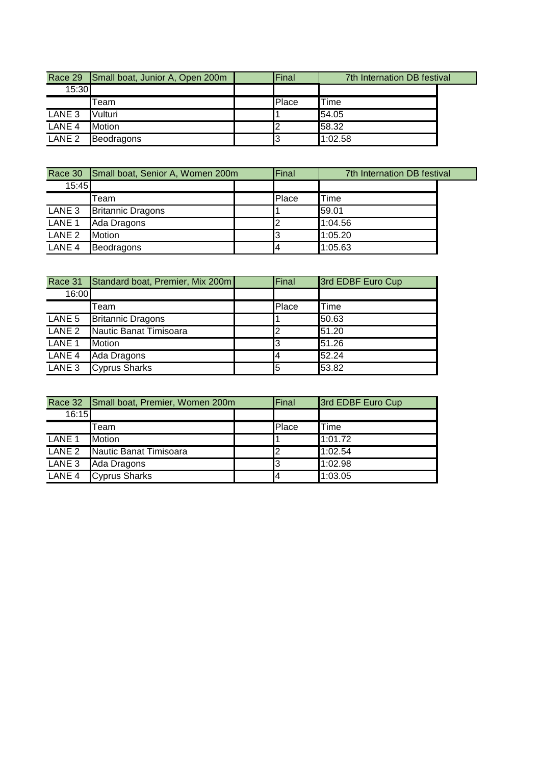|                   | Race 29 Small boat, Junior A, Open 200m | <b>Final</b> |         | 7th Internation DB festival |
|-------------------|-----------------------------------------|--------------|---------|-----------------------------|
| 15:30             |                                         |              |         |                             |
|                   | Team                                    | Place        | Time    |                             |
| LANE 3            | Vulturi                                 |              | 54.05   |                             |
| LANE <sub>4</sub> | <b>Motion</b>                           |              | 58.32   |                             |
| LANE <sub>2</sub> | <b>Beodragons</b>                       |              | 1:02.58 |                             |

|                   | Race 30 Small boat, Senior A, Women 200m | Final | 7th Internation DB festival |
|-------------------|------------------------------------------|-------|-----------------------------|
| 15:45             |                                          |       |                             |
|                   | Team                                     | Place | Time                        |
| LANE 3            | <b>Britannic Dragons</b>                 |       | 59.01                       |
| LANE <sub>1</sub> | Ada Dragons                              |       | 1:04.56                     |
| LANE <sub>2</sub> | <b>Motion</b>                            |       | 1:05.20                     |
| LANE 4            | Beodragons                               |       | 1:05.63                     |

| Race 31           | Standard boat, Premier, Mix 200m | Final | 3rd EDBF Euro Cup |
|-------------------|----------------------------------|-------|-------------------|
| 16:00             |                                  |       |                   |
|                   | Team                             | Place | Time              |
| LANE 5            | <b>Britannic Dragons</b>         |       | 50.63             |
| LANE <sub>2</sub> | Nautic Banat Timisoara           | 2     | 51.20             |
| LANE <sub>1</sub> | <b>Motion</b>                    | 13    | 51.26             |
| LANE 4            | Ada Dragons                      | 14    | 52.24             |
| LANE 3            | <b>Cyprus Sharks</b>             | 5     | 53.82             |

|                   | Race 32 Small boat, Premier, Women 200m | Final | 3rd EDBF Euro Cup |
|-------------------|-----------------------------------------|-------|-------------------|
| 16:15             |                                         |       |                   |
|                   | Team                                    | Place | Time              |
| LANE <sub>1</sub> | <b>Motion</b>                           |       | 1:01.72           |
| LANE <sub>2</sub> | Nautic Banat Timisoara                  | 2     | 1:02.54           |
| LANE 3            | Ada Dragons                             | l3    | 1:02.98           |
| LANE <sub>4</sub> | <b>Cyprus Sharks</b>                    | 14    | 1:03.05           |